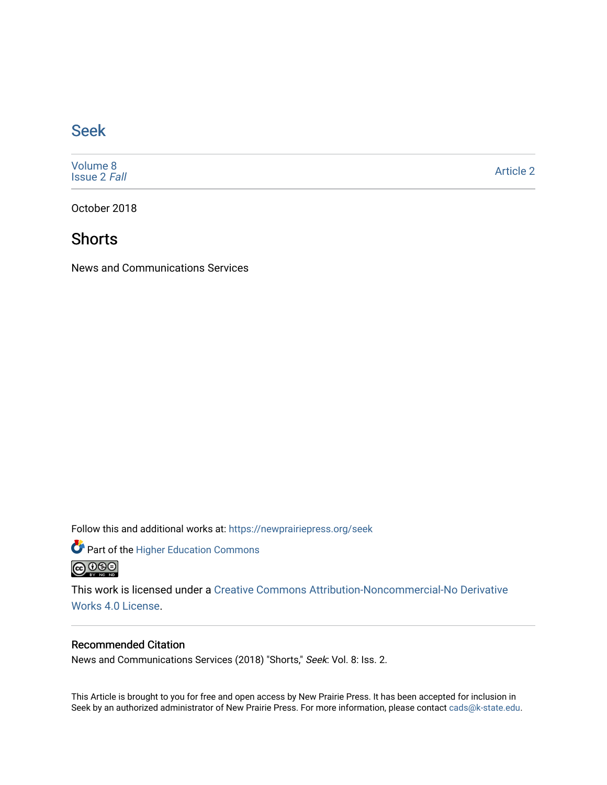#### [Seek](https://newprairiepress.org/seek)

[Volume 8](https://newprairiepress.org/seek/vol8) [Issue 2](https://newprairiepress.org/seek/vol8/iss2) Fall

[Article 2](https://newprairiepress.org/seek/vol8/iss2/2) 

October 2018

#### **Shorts**

News and Communications Services

Follow this and additional works at: [https://newprairiepress.org/seek](https://newprairiepress.org/seek?utm_source=newprairiepress.org%2Fseek%2Fvol8%2Fiss2%2F2&utm_medium=PDF&utm_campaign=PDFCoverPages)

Part of the [Higher Education Commons](http://network.bepress.com/hgg/discipline/1245?utm_source=newprairiepress.org%2Fseek%2Fvol8%2Fiss2%2F2&utm_medium=PDF&utm_campaign=PDFCoverPages) 



This work is licensed under a [Creative Commons Attribution-Noncommercial-No Derivative](https://creativecommons.org/licenses/by-nc-nd/4.0/)  [Works 4.0 License](https://creativecommons.org/licenses/by-nc-nd/4.0/).

#### Recommended Citation

News and Communications Services (2018) "Shorts," Seek: Vol. 8: Iss. 2.

This Article is brought to you for free and open access by New Prairie Press. It has been accepted for inclusion in Seek by an authorized administrator of New Prairie Press. For more information, please contact [cads@k-state.edu](mailto:cads@k-state.edu).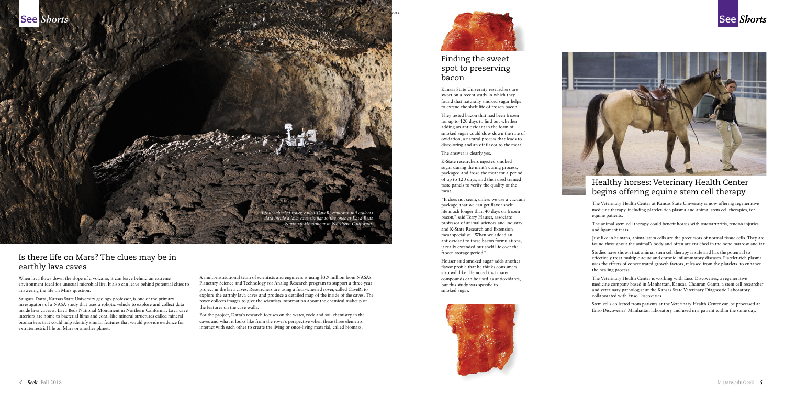# Is there life on Mars? The clues may be in earthly lava caves

When lava flows down the slope of a volcano, it can leave behind an extreme environment ideal for unusual microbial life. It also can leave behind potential clues to answering the life on Mars question.

Saugata Datta, Kansas State University geology professor, is one of the primary investigators of a NASA study that uses a robotic vehicle to explore and collect data inside lava caves at Lava Beds National Monument in Northern California. Lava cave interiors are home to bacterial films and coral-like mineral structures called mineral biomarkers that could help identify similar features that would provide evidence for extraterrestrial life on Mars or another planet.

A multi-institutional team of scientists and engineers is using \$3.9 million from NASA's Planetary Science and Technology for Analog Research program to support a three-year project in the lava caves. Researchers are using a four-wheeled rover, called CaveR, to explore the earthly lava caves and produce a detailed map of the inside of the caves. The rover collects images to give the scientists information about the chemical makeup of the features on the cave walls.

For the project, Datta's research focuses on the water, rock and soil chemistry in the caves and what it looks like from the rover's perspective when these three elements interact with each other to create the living or once-living material, called biomass.



# Finding the sweet spot to preserving

# bacon

Kansas State University researchers are sweet on a recent study in which they found that naturally smoked sugar helps to extend the shelf life of frozen bacon.

They tested bacon that had been frozen for up to 120 days to find out whether adding an antioxidant in the form of smoked sugar could slow down the rate of oxidation, a natural process that leads to discoloring and an off flavor to the meat.

The answer is clearly yes.

K-State researchers injected smoked sugar during the meat's curing process, packaged and froze the meat for a period of up to 120 days, and then used trained taste panels to verify the quality of the

meat.

"It does not seem, unless we use a vacuum package, that we can get flavor shelf life much longer than 40 days on frozen bacon," said Terry Hauser, associate professor of animal sciences and industry and K-State Research and Extension meat specialist. "When we added an antioxidant to these bacon formulations, it really extended our shelf life over the frozen storage period."



Houser said smoked sugar adds another flavor profile that he thinks consumers also will like. He noted that many compounds can be used as antioxidants, but this study was specific to





smoked sugar.





# Healthy horses: Veterinary Health Center begins offering equine stem cell therapy

The Veterinary Health Center at Kansas State University is now offering regenerative medicine therapy, including platelet-rich plasma and animal stem cell therapies, for equine patients.

The animal stem cell therapy could benefit horses with osteoarthritis, tendon injuries and ligament tears.

Just like in humans, animal stem cells are the precursors of normal tissue cells. They are found throughout the animal's body and often are enriched in the bone marrow and fat.

Studies have shown that animal stem cell therapy is safe and has the potential to effectively treat multiple acute and chronic inflammatory diseases. Platelet-rich plasma uses the effects of concentrated growth factors, released from the platelets, to enhance the healing process.

The Veterinary Health Center is working with Enso Discoveries, a regenerative medicine company based in Manhattan, Kansas. Chanran Ganta, a stem cell researcher and veterinary pathologist at the Kansas State Veterinary Diagnostic Laboratory, collaborated with Enso Discoveries.

Stem cells collected from patients at the Veterinary Health Center can be processed at Enso Discoveries' Manhattan laboratory and used in a patient within the same day.